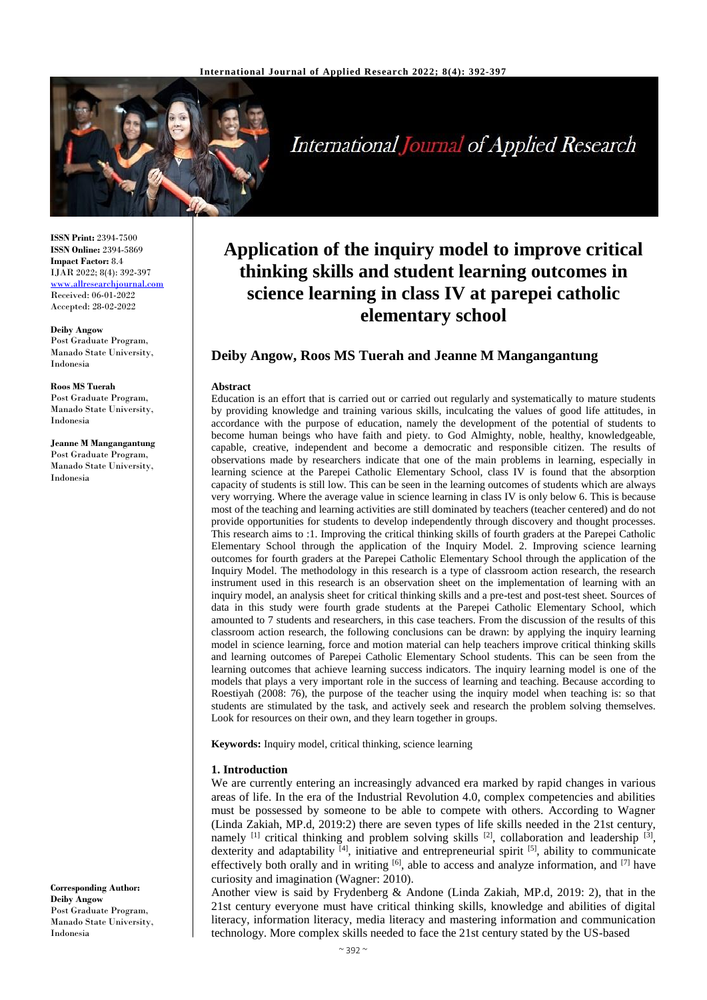

International Journal of Applied Research

**ISSN Print:** 2394-7500 **ISSN Online:** 2394-5869 **Impact Factor:** 8.4 IJAR 2022; 8(4): 392-397 [www.allresearchjournal.com](http://www.allresearchjournal.com/) Received: 06-01-2022 Accepted: 28-02-2022

# **Deiby Angow**

Post Graduate Program, Manado State University, Indonesia

**Roos MS Tuerah** Post Graduate Program, Manado State University, Indonesia

#### **Jeanne M Mangangantung** Post Graduate Program, Manado State University, Indonesia

**Application of the inquiry model to improve critical thinking skills and student learning outcomes in science learning in class IV at parepei catholic elementary school**

### **Deiby Angow, Roos MS Tuerah and Jeanne M Mangangantung**

#### **Abstract**

Education is an effort that is carried out or carried out regularly and systematically to mature students by providing knowledge and training various skills, inculcating the values of good life attitudes, in accordance with the purpose of education, namely the development of the potential of students to become human beings who have faith and piety. to God Almighty, noble, healthy, knowledgeable, capable, creative, independent and become a democratic and responsible citizen. The results of observations made by researchers indicate that one of the main problems in learning, especially in learning science at the Parepei Catholic Elementary School, class IV is found that the absorption capacity of students is still low. This can be seen in the learning outcomes of students which are always very worrying. Where the average value in science learning in class IV is only below 6. This is because most of the teaching and learning activities are still dominated by teachers (teacher centered) and do not provide opportunities for students to develop independently through discovery and thought processes. This research aims to :1. Improving the critical thinking skills of fourth graders at the Parepei Catholic Elementary School through the application of the Inquiry Model. 2. Improving science learning outcomes for fourth graders at the Parepei Catholic Elementary School through the application of the Inquiry Model. The methodology in this research is a type of classroom action research, the research instrument used in this research is an observation sheet on the implementation of learning with an inquiry model, an analysis sheet for critical thinking skills and a pre-test and post-test sheet. Sources of data in this study were fourth grade students at the Parepei Catholic Elementary School, which amounted to 7 students and researchers, in this case teachers. From the discussion of the results of this classroom action research, the following conclusions can be drawn: by applying the inquiry learning model in science learning, force and motion material can help teachers improve critical thinking skills and learning outcomes of Parepei Catholic Elementary School students. This can be seen from the learning outcomes that achieve learning success indicators. The inquiry learning model is one of the models that plays a very important role in the success of learning and teaching. Because according to Roestiyah (2008: 76), the purpose of the teacher using the inquiry model when teaching is: so that students are stimulated by the task, and actively seek and research the problem solving themselves. Look for resources on their own, and they learn together in groups.

**Keywords:** Inquiry model, critical thinking, science learning

### **1. Introduction**

We are currently entering an increasingly advanced era marked by rapid changes in various areas of life. In the era of the Industrial Revolution 4.0, complex competencies and abilities must be possessed by someone to be able to compete with others. According to Wagner (Linda Zakiah, MP.d, 2019:2) there are seven types of life skills needed in the 21st century, namely  $^{[1]}$  critical thinking and problem solving skills  $^{[2]}$ , collaboration and leadership  $^{[3]}$ , dexterity and adaptability <sup>[4]</sup>, initiative and entrepreneurial spirit <sup>[5]</sup>, ability to communicate effectively both orally and in writing  $[6]$ , able to access and analyze information, and  $[7]$  have curiosity and imagination (Wagner: 2010).

Another view is said by Frydenberg & Andone (Linda Zakiah, MP.d, 2019: 2), that in the 21st century everyone must have critical thinking skills, knowledge and abilities of digital literacy, information literacy, media literacy and mastering information and communication technology. More complex skills needed to face the 21st century stated by the US-based

**Corresponding Author: Deiby Angow** Post Graduate Program, Manado State University, Indonesia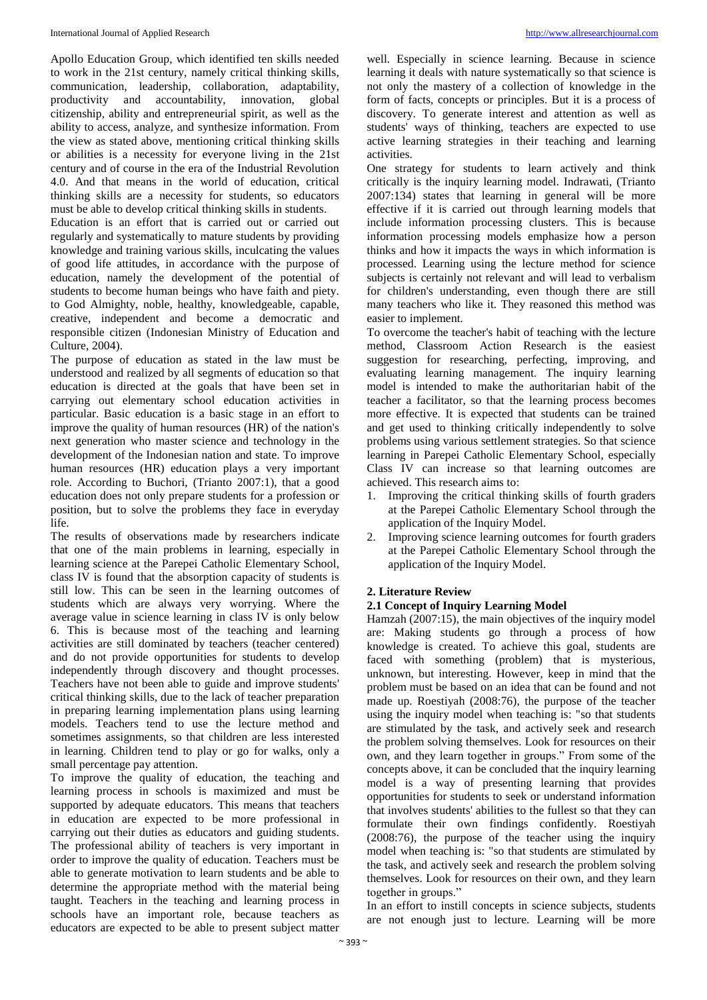Apollo Education Group, which identified ten skills needed to work in the 21st century, namely critical thinking skills, communication, leadership, collaboration, adaptability, productivity and accountability, innovation, global citizenship, ability and entrepreneurial spirit, as well as the ability to access, analyze, and synthesize information. From the view as stated above, mentioning critical thinking skills or abilities is a necessity for everyone living in the 21st century and of course in the era of the Industrial Revolution 4.0. And that means in the world of education, critical thinking skills are a necessity for students, so educators must be able to develop critical thinking skills in students.

Education is an effort that is carried out or carried out regularly and systematically to mature students by providing knowledge and training various skills, inculcating the values of good life attitudes, in accordance with the purpose of education, namely the development of the potential of students to become human beings who have faith and piety. to God Almighty, noble, healthy, knowledgeable, capable, creative, independent and become a democratic and responsible citizen (Indonesian Ministry of Education and Culture, 2004).

The purpose of education as stated in the law must be understood and realized by all segments of education so that education is directed at the goals that have been set in carrying out elementary school education activities in particular. Basic education is a basic stage in an effort to improve the quality of human resources (HR) of the nation's next generation who master science and technology in the development of the Indonesian nation and state. To improve human resources (HR) education plays a very important role. According to Buchori, (Trianto 2007:1), that a good education does not only prepare students for a profession or position, but to solve the problems they face in everyday life.

The results of observations made by researchers indicate that one of the main problems in learning, especially in learning science at the Parepei Catholic Elementary School, class IV is found that the absorption capacity of students is still low. This can be seen in the learning outcomes of students which are always very worrying. Where the average value in science learning in class IV is only below 6. This is because most of the teaching and learning activities are still dominated by teachers (teacher centered) and do not provide opportunities for students to develop independently through discovery and thought processes. Teachers have not been able to guide and improve students' critical thinking skills, due to the lack of teacher preparation in preparing learning implementation plans using learning models. Teachers tend to use the lecture method and sometimes assignments, so that children are less interested in learning. Children tend to play or go for walks, only a small percentage pay attention.

To improve the quality of education, the teaching and learning process in schools is maximized and must be supported by adequate educators. This means that teachers in education are expected to be more professional in carrying out their duties as educators and guiding students. The professional ability of teachers is very important in order to improve the quality of education. Teachers must be able to generate motivation to learn students and be able to determine the appropriate method with the material being taught. Teachers in the teaching and learning process in schools have an important role, because teachers as educators are expected to be able to present subject matter

well. Especially in science learning. Because in science learning it deals with nature systematically so that science is not only the mastery of a collection of knowledge in the form of facts, concepts or principles. But it is a process of discovery. To generate interest and attention as well as students' ways of thinking, teachers are expected to use active learning strategies in their teaching and learning activities.

One strategy for students to learn actively and think critically is the inquiry learning model. Indrawati, (Trianto 2007:134) states that learning in general will be more effective if it is carried out through learning models that include information processing clusters. This is because information processing models emphasize how a person thinks and how it impacts the ways in which information is processed. Learning using the lecture method for science subjects is certainly not relevant and will lead to verbalism for children's understanding, even though there are still many teachers who like it. They reasoned this method was easier to implement.

To overcome the teacher's habit of teaching with the lecture method, Classroom Action Research is the easiest suggestion for researching, perfecting, improving, and evaluating learning management. The inquiry learning model is intended to make the authoritarian habit of the teacher a facilitator, so that the learning process becomes more effective. It is expected that students can be trained and get used to thinking critically independently to solve problems using various settlement strategies. So that science learning in Parepei Catholic Elementary School, especially Class IV can increase so that learning outcomes are achieved. This research aims to:

- 1. Improving the critical thinking skills of fourth graders at the Parepei Catholic Elementary School through the application of the Inquiry Model.
- 2. Improving science learning outcomes for fourth graders at the Parepei Catholic Elementary School through the application of the Inquiry Model.

## **2. Literature Review**

## **2.1 Concept of Inquiry Learning Model**

Hamzah (2007:15), the main objectives of the inquiry model are: Making students go through a process of how knowledge is created. To achieve this goal, students are faced with something (problem) that is mysterious, unknown, but interesting. However, keep in mind that the problem must be based on an idea that can be found and not made up. Roestiyah (2008:76), the purpose of the teacher using the inquiry model when teaching is: "so that students are stimulated by the task, and actively seek and research the problem solving themselves. Look for resources on their own, and they learn together in groups." From some of the concepts above, it can be concluded that the inquiry learning model is a way of presenting learning that provides opportunities for students to seek or understand information that involves students' abilities to the fullest so that they can formulate their own findings confidently. Roestiyah (2008:76), the purpose of the teacher using the inquiry model when teaching is: "so that students are stimulated by the task, and actively seek and research the problem solving themselves. Look for resources on their own, and they learn together in groups."

In an effort to instill concepts in science subjects, students are not enough just to lecture. Learning will be more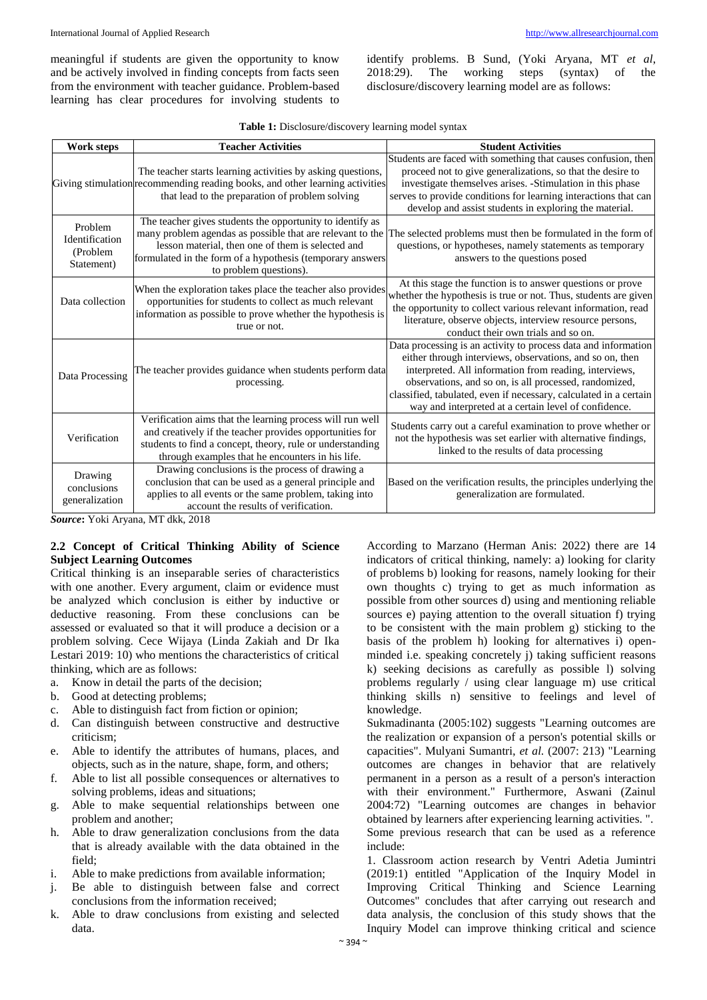meaningful if students are given the opportunity to know and be actively involved in finding concepts from facts seen from the environment with teacher guidance. Problem-based learning has clear procedures for involving students to identify problems. B Sund, (Yoki Aryana, MT *et al*, 2018:29). The working steps (syntax) of the disclosure/discovery learning model are as follows:

| Work steps                                          | <b>Teacher Activities</b>                                                                                                                                                                                                                                          | <b>Student Activities</b>                                                                                                                                                                                                                                                                                                                                                    |  |  |
|-----------------------------------------------------|--------------------------------------------------------------------------------------------------------------------------------------------------------------------------------------------------------------------------------------------------------------------|------------------------------------------------------------------------------------------------------------------------------------------------------------------------------------------------------------------------------------------------------------------------------------------------------------------------------------------------------------------------------|--|--|
|                                                     | The teacher starts learning activities by asking questions,<br>Giving stimulation recommending reading books, and other learning activities<br>that lead to the preparation of problem solving                                                                     | Students are faced with something that causes confusion, then<br>proceed not to give generalizations, so that the desire to<br>investigate themselves arises. -Stimulation in this phase<br>serves to provide conditions for learning interactions that can<br>develop and assist students in exploring the material.                                                        |  |  |
| Problem<br>Identification<br>(Problem<br>Statement) | The teacher gives students the opportunity to identify as<br>many problem agendas as possible that are relevant to the<br>lesson material, then one of them is selected and<br>formulated in the form of a hypothesis (temporary answers<br>to problem questions). | The selected problems must then be formulated in the form of<br>questions, or hypotheses, namely statements as temporary<br>answers to the questions posed                                                                                                                                                                                                                   |  |  |
| Data collection                                     | When the exploration takes place the teacher also provides<br>opportunities for students to collect as much relevant<br>information as possible to prove whether the hypothesis is<br>true or not.                                                                 | At this stage the function is to answer questions or prove<br>whether the hypothesis is true or not. Thus, students are given<br>the opportunity to collect various relevant information, read<br>literature, observe objects, interview resource persons,<br>conduct their own trials and so on.                                                                            |  |  |
| Data Processing                                     | The teacher provides guidance when students perform data<br>processing.                                                                                                                                                                                            | Data processing is an activity to process data and information<br>either through interviews, observations, and so on, then<br>interpreted. All information from reading, interviews,<br>observations, and so on, is all processed, randomized,<br>classified, tabulated, even if necessary, calculated in a certain<br>way and interpreted at a certain level of confidence. |  |  |
| Verification                                        | Verification aims that the learning process will run well<br>and creatively if the teacher provides opportunities for<br>students to find a concept, theory, rule or understanding<br>through examples that he encounters in his life.                             | Students carry out a careful examination to prove whether or<br>not the hypothesis was set earlier with alternative findings,<br>linked to the results of data processing                                                                                                                                                                                                    |  |  |
| Drawing<br>conclusions<br>generalization            | Drawing conclusions is the process of drawing a<br>conclusion that can be used as a general principle and<br>applies to all events or the same problem, taking into<br>account the results of verification.                                                        | Based on the verification results, the principles underlying the<br>generalization are formulated.                                                                                                                                                                                                                                                                           |  |  |

*Source***:** Yoki Aryana, MT dkk, 2018

### **2.2 Concept of Critical Thinking Ability of Science Subject Learning Outcomes**

Critical thinking is an inseparable series of characteristics with one another. Every argument, claim or evidence must be analyzed which conclusion is either by inductive or deductive reasoning. From these conclusions can be assessed or evaluated so that it will produce a decision or a problem solving. Cece Wijaya (Linda Zakiah and Dr Ika Lestari 2019: 10) who mentions the characteristics of critical thinking, which are as follows:

- a. Know in detail the parts of the decision;
- b. Good at detecting problems;
- c. Able to distinguish fact from fiction or opinion;
- d. Can distinguish between constructive and destructive criticism;
- e. Able to identify the attributes of humans, places, and objects, such as in the nature, shape, form, and others;
- f. Able to list all possible consequences or alternatives to solving problems, ideas and situations;
- g. Able to make sequential relationships between one problem and another;
- h. Able to draw generalization conclusions from the data that is already available with the data obtained in the field;
- i. Able to make predictions from available information;
- j. Be able to distinguish between false and correct conclusions from the information received;
- k. Able to draw conclusions from existing and selected data.

According to Marzano (Herman Anis: 2022) there are 14 indicators of critical thinking, namely: a) looking for clarity of problems b) looking for reasons, namely looking for their own thoughts c) trying to get as much information as possible from other sources d) using and mentioning reliable sources e) paying attention to the overall situation f) trying to be consistent with the main problem g) sticking to the basis of the problem h) looking for alternatives i) openminded i.e. speaking concretely j) taking sufficient reasons k) seeking decisions as carefully as possible l) solving problems regularly / using clear language m) use critical thinking skills n) sensitive to feelings and level of knowledge.

Sukmadinanta (2005:102) suggests "Learning outcomes are the realization or expansion of a person's potential skills or capacities". Mulyani Sumantri, *et al.* (2007: 213) "Learning outcomes are changes in behavior that are relatively permanent in a person as a result of a person's interaction with their environment." Furthermore, Aswani (Zainul 2004:72) "Learning outcomes are changes in behavior obtained by learners after experiencing learning activities. ". Some previous research that can be used as a reference include:

1. Classroom action research by Ventri Adetia Jumintri (2019:1) entitled "Application of the Inquiry Model in Improving Critical Thinking and Science Learning Outcomes" concludes that after carrying out research and data analysis, the conclusion of this study shows that the Inquiry Model can improve thinking critical and science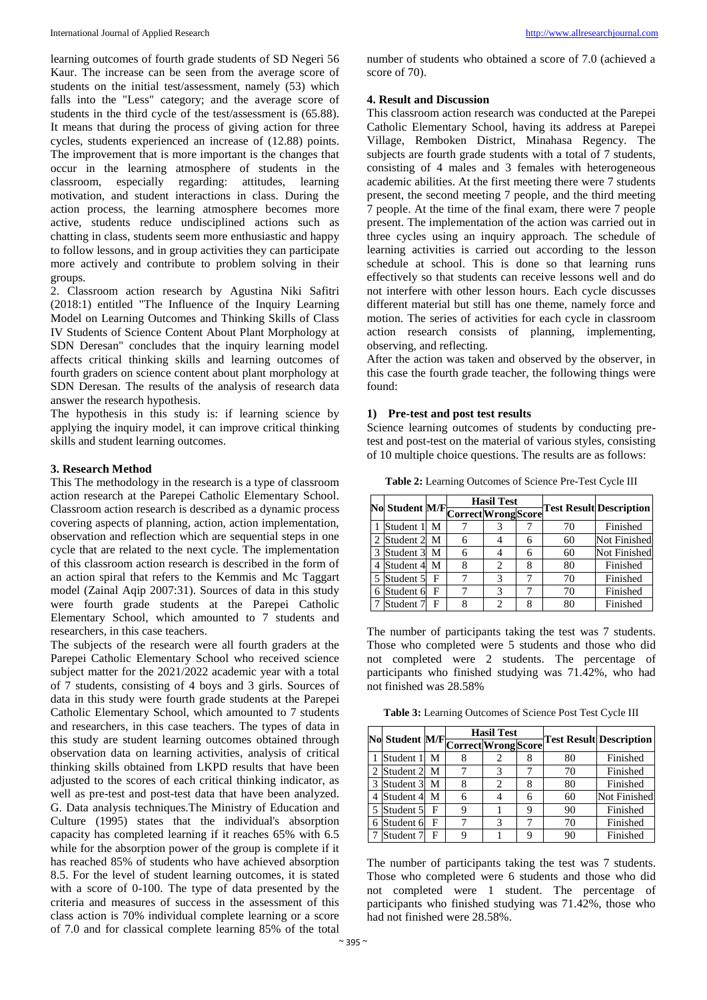learning outcomes of fourth grade students of SD Negeri 56 Kaur. The increase can be seen from the average score of students on the initial test/assessment, namely (53) which falls into the "Less" category; and the average score of students in the third cycle of the test/assessment is (65.88). It means that during the process of giving action for three cycles, students experienced an increase of (12.88) points. The improvement that is more important is the changes that occur in the learning atmosphere of students in the classroom, especially regarding: attitudes, learning motivation, and student interactions in class. During the action process, the learning atmosphere becomes more active, students reduce undisciplined actions such as chatting in class, students seem more enthusiastic and happy to follow lessons, and in group activities they can participate more actively and contribute to problem solving in their groups.

2. Classroom action research by Agustina Niki Safitri (2018:1) entitled "The Influence of the Inquiry Learning Model on Learning Outcomes and Thinking Skills of Class IV Students of Science Content About Plant Morphology at SDN Deresan" concludes that the inquiry learning model affects critical thinking skills and learning outcomes of fourth graders on science content about plant morphology at SDN Deresan. The results of the analysis of research data answer the research hypothesis.

The hypothesis in this study is: if learning science by applying the inquiry model, it can improve critical thinking skills and student learning outcomes.

### **3. Research Method**

This The methodology in the research is a type of classroom action research at the Parepei Catholic Elementary School. Classroom action research is described as a dynamic process covering aspects of planning, action, action implementation, observation and reflection which are sequential steps in one cycle that are related to the next cycle. The implementation of this classroom action research is described in the form of an action spiral that refers to the Kemmis and Mc Taggart model (Zainal Aqip 2007:31). Sources of data in this study were fourth grade students at the Parepei Catholic Elementary School, which amounted to 7 students and researchers, in this case teachers.

The subjects of the research were all fourth graders at the Parepei Catholic Elementary School who received science subject matter for the 2021/2022 academic year with a total of 7 students, consisting of 4 boys and 3 girls. Sources of data in this study were fourth grade students at the Parepei Catholic Elementary School, which amounted to 7 students and researchers, in this case teachers. The types of data in this study are student learning outcomes obtained through observation data on learning activities, analysis of critical thinking skills obtained from LKPD results that have been adjusted to the scores of each critical thinking indicator, as well as pre-test and post-test data that have been analyzed. G. Data analysis techniques.The Ministry of Education and Culture (1995) states that the individual's absorption capacity has completed learning if it reaches 65% with 6.5 while for the absorption power of the group is complete if it has reached 85% of students who have achieved absorption 8.5. For the level of student learning outcomes, it is stated with a score of 0-100. The type of data presented by the criteria and measures of success in the assessment of this class action is 70% individual complete learning or a score of 7.0 and for classical complete learning 85% of the total number of students who obtained a score of 7.0 (achieved a score of 70).

### **4. Result and Discussion**

This classroom action research was conducted at the Parepei Catholic Elementary School, having its address at Parepei Village, Remboken District, Minahasa Regency. The subjects are fourth grade students with a total of 7 students, consisting of 4 males and 3 females with heterogeneous academic abilities. At the first meeting there were 7 students present, the second meeting 7 people, and the third meeting 7 people. At the time of the final exam, there were 7 people present. The implementation of the action was carried out in three cycles using an inquiry approach. The schedule of learning activities is carried out according to the lesson schedule at school. This is done so that learning runs effectively so that students can receive lessons well and do not interfere with other lesson hours. Each cycle discusses different material but still has one theme, namely force and motion. The series of activities for each cycle in classroom action research consists of planning, implementing, observing, and reflecting.

After the action was taken and observed by the observer, in this case the fourth grade teacher, the following things were found:

### **1) Pre-test and post test results**

Science learning outcomes of students by conducting pretest and post-test on the material of various styles, consisting of 10 multiple choice questions. The results are as follows:

**Table 2:** Learning Outcomes of Science Pre-Test Cycle III

|   |           |   | <b>Hasil Test</b><br>No Student M/F Correct Wrong Score |   |   |    | <b>Test Result Description</b> |
|---|-----------|---|---------------------------------------------------------|---|---|----|--------------------------------|
|   |           |   |                                                         |   |   |    |                                |
|   | Student 1 | М |                                                         |   |   | 70 | Finished                       |
| 2 | Student 2 | М |                                                         |   | 6 | 60 | <b>Not Finished</b>            |
| 3 | Student 3 | М |                                                         |   | 6 | 60 | Not Finished                   |
| 4 | Student 4 | M |                                                         | 2 | 8 | 80 | Finished                       |
| 5 | Student 5 | F |                                                         | 3 |   | 70 | Finished                       |
| 6 | Student 6 | F |                                                         | 3 |   | 70 | Finished                       |
|   | Student 7 | F |                                                         | 2 |   | 80 | Finished                       |

The number of participants taking the test was 7 students. Those who completed were 5 students and those who did not completed were 2 students. The percentage of participants who finished studying was 71.42%, who had not finished was 28.58%

**Table 3:** Learning Outcomes of Science Post Test Cycle III

|               |               |   | <b>Hasil Test</b><br>No Student M/F Correct Wrong Score |   |   |    | <b>Test Result Description</b> |  |
|---------------|---------------|---|---------------------------------------------------------|---|---|----|--------------------------------|--|
|               |               |   |                                                         |   |   |    |                                |  |
|               | Student 1     | M |                                                         |   |   | 80 | Finished                       |  |
|               | 2 Student 2 M |   |                                                         |   |   | 70 | Finished                       |  |
| $\mathcal{R}$ | Student 3 M   |   | 8                                                       | 2 | 8 | 80 | Finished                       |  |
| 4             | Student 4 M   |   |                                                         |   | 6 | 60 | <b>Not Finished</b>            |  |
| 5             | Student 5     | F |                                                         |   | 9 | 90 | Finished                       |  |
| 6             | Student 6     | F |                                                         | 3 |   | 70 | Finished                       |  |
|               | Student 7     | F |                                                         |   | 9 | 90 | Finished                       |  |

The number of participants taking the test was 7 students. Those who completed were 6 students and those who did not completed were 1 student. The percentage of participants who finished studying was 71.42%, those who had not finished were 28.58%.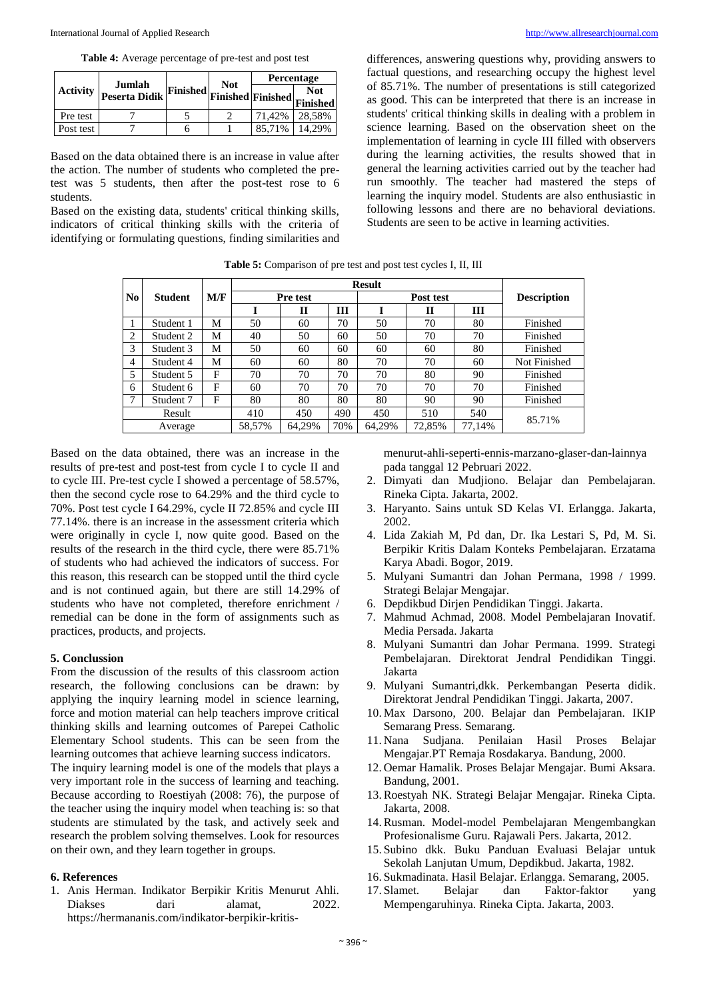**Table 4:** Average percentage of pre-test and post test

|                 | Jumlah        |                                                        | <b>Not</b> | Percentage |        |  |
|-----------------|---------------|--------------------------------------------------------|------------|------------|--------|--|
| <b>Activity</b> | Peserta Didik | $\mathcal{L}_{\text{L}}$ [Finished] Finished Finished] |            |            |        |  |
| Pre test        |               |                                                        |            | 71.42%     | 28,58% |  |
| Post test       |               |                                                        |            | 85.71%     | 14.29% |  |

Based on the data obtained there is an increase in value after the action. The number of students who completed the pretest was 5 students, then after the post-test rose to 6 students.

Based on the existing data, students' critical thinking skills, indicators of critical thinking skills with the criteria of identifying or formulating questions, finding similarities and

differences, answering questions why, providing answers to factual questions, and researching occupy the highest level of 85.71%. The number of presentations is still categorized as good. This can be interpreted that there is an increase in students' critical thinking skills in dealing with a problem in science learning. Based on the observation sheet on the implementation of learning in cycle III filled with observers during the learning activities, the results showed that in general the learning activities carried out by the teacher had run smoothly. The teacher had mastered the steps of learning the inquiry model. Students are also enthusiastic in following lessons and there are no behavioral deviations. Students are seen to be active in learning activities.

| <b>Table 5:</b> Comparison of pre test and post test cycles I, II, III |  |  |  |  |  |  |  |
|------------------------------------------------------------------------|--|--|--|--|--|--|--|
|------------------------------------------------------------------------|--|--|--|--|--|--|--|

|                |                |     | <b>Result</b> |          |     |        |              |        |                    |
|----------------|----------------|-----|---------------|----------|-----|--------|--------------|--------|--------------------|
| No             | <b>Student</b> | M/F |               | Pre test |     |        | Post test    |        | <b>Description</b> |
|                |                |     |               | П        | Ш   |        | $\mathbf{I}$ | Ш      |                    |
|                | Student 1      | M   | 50            | 60       | 70  | 50     | 70           | 80     | Finished           |
| 2              | Student 2      | М   | 40            | 50       | 60  | 50     | 70           | 70     | Finished           |
| 3              | Student 3      | М   | 50            | 60       | 60  | 60     | 60           | 80     | Finished           |
| $\overline{4}$ | Student 4      | М   | 60            | 60       | 80  | 70     | 70           | 60     | Not Finished       |
| 5              | Student 5      | F   | 70            | 70       | 70  | 70     | 80           | 90     | Finished           |
| 6              | Student 6      | F   | 60            | 70       | 70  | 70     | 70           | 70     | Finished           |
|                | Student 7      | F   | 80            | 80       | 80  | 80     | 90           | 90     | Finished           |
|                | Result         |     | 410           | 450      | 490 | 450    | 510          | 540    | 85.71%             |
|                | Average        |     | 58,57%        | 64,29%   | 70% | 64,29% | 72,85%       | 77,14% |                    |

Based on the data obtained, there was an increase in the results of pre-test and post-test from cycle I to cycle II and to cycle III. Pre-test cycle I showed a percentage of 58.57%, then the second cycle rose to 64.29% and the third cycle to 70%. Post test cycle I 64.29%, cycle II 72.85% and cycle III 77.14%. there is an increase in the assessment criteria which were originally in cycle I, now quite good. Based on the results of the research in the third cycle, there were 85.71% of students who had achieved the indicators of success. For this reason, this research can be stopped until the third cycle and is not continued again, but there are still 14.29% of students who have not completed, therefore enrichment / remedial can be done in the form of assignments such as practices, products, and projects.

#### **5. Conclussion**

From the discussion of the results of this classroom action research, the following conclusions can be drawn: by applying the inquiry learning model in science learning, force and motion material can help teachers improve critical thinking skills and learning outcomes of Parepei Catholic Elementary School students. This can be seen from the learning outcomes that achieve learning success indicators.

The inquiry learning model is one of the models that plays a very important role in the success of learning and teaching. Because according to Roestiyah (2008: 76), the purpose of the teacher using the inquiry model when teaching is: so that students are stimulated by the task, and actively seek and research the problem solving themselves. Look for resources on their own, and they learn together in groups.

#### **6. References**

1. Anis Herman. Indikator Berpikir Kritis Menurut Ahli. Diakses dari alamat. 2022. https://hermananis.com/indikator-berpikir-kritismenurut-ahli-seperti-ennis-marzano-glaser-dan-lainnya pada tanggal 12 Pebruari 2022.

- 2. Dimyati dan Mudjiono. Belajar dan Pembelajaran. Rineka Cipta. Jakarta, 2002.
- 3. Haryanto. Sains untuk SD Kelas VI. Erlangga. Jakarta, 2002.
- 4. Lida Zakiah M, Pd dan, Dr. Ika Lestari S, Pd, M. Si. Berpikir Kritis Dalam Konteks Pembelajaran. Erzatama Karya Abadi. Bogor, 2019.
- 5. Mulyani Sumantri dan Johan Permana, 1998 / 1999. Strategi Belajar Mengajar.
- 6. Depdikbud Dirjen Pendidikan Tinggi. Jakarta.
- 7. Mahmud Achmad, 2008. Model Pembelajaran Inovatif. Media Persada. Jakarta
- 8. Mulyani Sumantri dan Johar Permana. 1999. Strategi Pembelajaran. Direktorat Jendral Pendidikan Tinggi. Jakarta
- 9. Mulyani Sumantri,dkk. Perkembangan Peserta didik. Direktorat Jendral Pendidikan Tinggi. Jakarta, 2007.
- 10. Max Darsono, 200. Belajar dan Pembelajaran. IKIP Semarang Press. Semarang.
- 11. Nana Sudjana. Penilaian Hasil Proses Belajar Mengajar.PT Remaja Rosdakarya. Bandung, 2000.
- 12. Oemar Hamalik. Proses Belajar Mengajar. Bumi Aksara. Bandung, 2001.
- 13.Roestyah NK. Strategi Belajar Mengajar. Rineka Cipta. Jakarta, 2008.
- 14.Rusman. Model-model Pembelajaran Mengembangkan Profesionalisme Guru. Rajawali Pers. Jakarta, 2012.
- 15. Subino dkk. Buku Panduan Evaluasi Belajar untuk Sekolah Lanjutan Umum, Depdikbud. Jakarta, 1982.
- 16. Sukmadinata. Hasil Belajar. Erlangga. Semarang, 2005.
- 17. Slamet. Belajar dan Faktor-faktor yang Mempengaruhinya. Rineka Cipta. Jakarta, 2003.